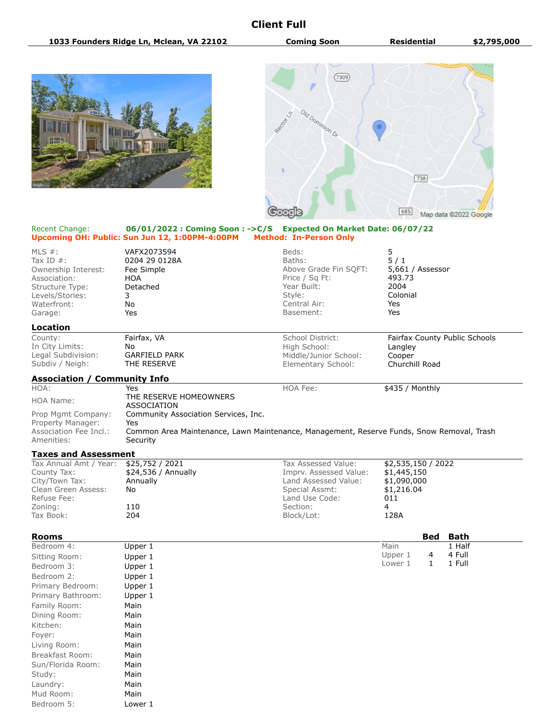## **Client Full**





## Recent Change: **06/01/2022 : Coming Soon : ->C/S Expected On Market Date: 06/07/22 Upcoming OH: Public: Sun Jun 12, 1:00PM-4:00PM Method: In-Person Only**

| MLS $#$ :<br>Tax ID $#$ :<br>Ownership Interest:<br>Association:<br>Structure Type:<br>Levels/Stories:<br>Waterfront:<br>Garage: | VAFX2073594<br>0204 29 0128A<br>Fee Simple<br><b>HOA</b><br>Detached<br>3<br>No<br>Yes                                                               | Beds:<br>Baths:<br>Above Grade Fin SQFT:<br>Price / Sq Ft:<br>Year Built:<br>Style:<br>Central Air:<br>Basement: | 5<br>5/1<br>5,661 / Assessor<br>493.73<br>2004<br>Colonial<br>Yes<br>Yes |
|----------------------------------------------------------------------------------------------------------------------------------|------------------------------------------------------------------------------------------------------------------------------------------------------|------------------------------------------------------------------------------------------------------------------|--------------------------------------------------------------------------|
| <b>Location</b>                                                                                                                  |                                                                                                                                                      |                                                                                                                  |                                                                          |
| County:<br>In City Limits:<br>Legal Subdivision:<br>Subdiv / Neigh:                                                              | Fairfax, VA<br>No<br><b>GARFIELD PARK</b><br>THE RESERVE                                                                                             | School District:<br>High School:<br>Middle/Junior School:<br>Elementary School:                                  | Fairfax County Public Schools<br>Langley<br>Cooper<br>Churchill Road     |
| <b>Association / Community Info</b>                                                                                              |                                                                                                                                                      |                                                                                                                  |                                                                          |
| HOA:                                                                                                                             | Yes                                                                                                                                                  | HOA Fee:                                                                                                         | \$435 / Monthly                                                          |
| <b>HOA Name:</b>                                                                                                                 | THE RESERVE HOMEOWNERS<br><b>ASSOCIATION</b>                                                                                                         |                                                                                                                  |                                                                          |
| Prop Mgmt Company:<br>Property Manager:<br>Association Fee Incl.:<br>Amenities:                                                  | Community Association Services, Inc.<br>Yes<br>Common Area Maintenance, Lawn Maintenance, Management, Reserve Funds, Snow Removal, Trash<br>Security |                                                                                                                  |                                                                          |
| <b>Taxes and Assessment</b>                                                                                                      |                                                                                                                                                      |                                                                                                                  |                                                                          |
| Tax Annual Amt / Year:<br>County Tax:<br>City/Town Tax:<br>Clean Green Assess:<br>Refuse Fee:                                    | \$25,752 / 2021<br>\$24,536 / Annually<br>Annually<br>No                                                                                             | Tax Assessed Value:<br>Imprv. Assessed Value:<br>Land Assessed Value:<br>Special Assmt:<br>Land Use Code:        | \$2,535,150 / 2022<br>\$1,445,150<br>\$1,090,000<br>\$1,216.04<br>011    |
| Zoning:<br>Tax Book:                                                                                                             | 110<br>204                                                                                                                                           | Section:                                                                                                         | $\overline{4}$<br>128A                                                   |
|                                                                                                                                  |                                                                                                                                                      | Block/Lot:                                                                                                       |                                                                          |
| <b>Rooms</b>                                                                                                                     |                                                                                                                                                      |                                                                                                                  | Bath<br><b>Bed</b>                                                       |
| Bedroom 4:                                                                                                                       | Upper 1                                                                                                                                              |                                                                                                                  | Main<br>1 Half                                                           |
| Sitting Room:                                                                                                                    | Upper 1                                                                                                                                              |                                                                                                                  | Upper 1<br>4 Full<br>4                                                   |
| Bedroom 3:                                                                                                                       | Upper 1                                                                                                                                              |                                                                                                                  | 1 Full<br>$\mathbf{1}$<br>Lower 1                                        |
| Bedroom 2:                                                                                                                       | Upper 1                                                                                                                                              |                                                                                                                  |                                                                          |

| Primary Bedroom:  | Upper 1 |
|-------------------|---------|
| Primary Bathroom: | Upper 1 |
| Family Room:      | Main    |
| Dining Room:      | Main    |
| Kitchen:          | Main    |
| Foyer:            | Main    |
| Living Room:      | Main    |
| Breakfast Room:   | Main    |
| Sun/Florida Room: | Main    |
| Study:            | Main    |
| Laundry:          | Main    |
| Mud Room:         | Main    |
| Bedroom 5:        | Lower 1 |
|                   |         |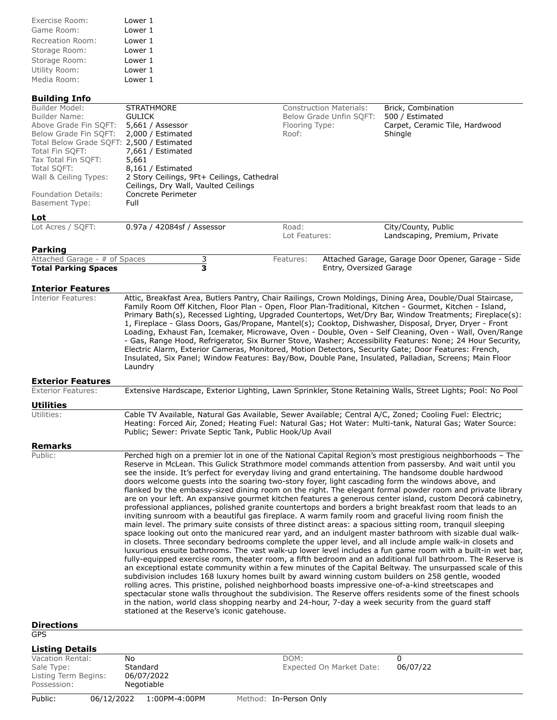| Exercise Room:   | Lower 1 |
|------------------|---------|
| Game Room:       | Lower 1 |
| Recreation Room: | Lower 1 |
| Storage Room:    | Lower 1 |
| Storage Room:    | Lower 1 |
| Utility Room:    | Lower 1 |
| Media Room:      | Lower 1 |

## **Building Info**

| Builder Model:                            | <b>STRATHMORE</b>                                                                                          | <b>Construction Materials:</b> | Brick, Combination                                 |
|-------------------------------------------|------------------------------------------------------------------------------------------------------------|--------------------------------|----------------------------------------------------|
| Builder Name:                             | <b>GULICK</b>                                                                                              | Below Grade Unfin SQFT:        | 500 / Estimated                                    |
| Above Grade Fin SQFT:                     | 5,661 / Assessor                                                                                           | Flooring Type:                 | Carpet, Ceramic Tile, Hardwood                     |
| Below Grade Fin SQFT: 2,000 / Estimated   |                                                                                                            | Roof:                          | Shingle                                            |
| Total Below Grade SQFT: 2,500 / Estimated |                                                                                                            |                                |                                                    |
| Total Fin SOFT:                           | 7,661 / Estimated                                                                                          |                                |                                                    |
| Tax Total Fin SQFT:                       | 5,661                                                                                                      |                                |                                                    |
| Total SQFT:                               | 8,161 / Estimated                                                                                          |                                |                                                    |
| Wall & Ceiling Types:                     | 2 Story Ceilings, 9Ft+ Ceilings, Cathedral                                                                 |                                |                                                    |
|                                           | Ceilings, Dry Wall, Vaulted Ceilings                                                                       |                                |                                                    |
| Foundation Details:                       | Concrete Perimeter                                                                                         |                                |                                                    |
| Basement Type:                            | Full                                                                                                       |                                |                                                    |
| Lot                                       |                                                                                                            |                                |                                                    |
| Lot Acres / SQFT:                         | 0.97a / 42084sf / Assessor                                                                                 | Road:                          | City/County, Public                                |
|                                           |                                                                                                            | Lot Features:                  | Landscaping, Premium, Private                      |
| Parking                                   |                                                                                                            |                                |                                                    |
| Attached Garage - # of Spaces             | 3                                                                                                          | Features:                      | Attached Garage, Garage Door Opener, Garage - Side |
| <b>Total Parking Spaces</b>               | 3                                                                                                          | Entry, Oversized Garage        |                                                    |
|                                           |                                                                                                            |                                |                                                    |
| <b>Interior Features</b>                  |                                                                                                            |                                |                                                    |
| <b>Interior Features:</b>                 | Attic, Breakfast Area, Butlers Pantry, Chair Railings, Crown Moldings, Dining Area, Double/Dual Staircase, |                                |                                                    |

Family Room Off Kitchen, Floor Plan - Open, Floor Plan-Traditional, Kitchen - Gourmet, Kitchen - Island, Primary Bath(s), Recessed Lighting, Upgraded Countertops, Wet/Dry Bar, Window Treatments; Fireplace(s): 1, Fireplace - Glass Doors, Gas/Propane, Mantel(s); Cooktop, Dishwasher, Disposal, Dryer, Dryer - Front Loading, Exhaust Fan, Icemaker, Microwave, Oven - Double, Oven - Self Cleaning, Oven - Wall, Oven/Range - Gas, Range Hood, Refrigerator, Six Burner Stove, Washer; Accessibility Features: None; 24 Hour Security, Electric Alarm, Exterior Cameras, Monitored, Motion Detectors, Security Gate; Door Features: French, Insulated, Six Panel; Window Features: Bay/Bow, Double Pane, Insulated, Palladian, Screens; Main Floor Laundry

**Exterior Features**

| <b>Exterior Features:</b> | Extensive Hardscape, Exterior Lighting, Lawn Sprinkler, Stone Retaining Walls, Street Lights; Pool: No Pool |
|---------------------------|-------------------------------------------------------------------------------------------------------------|
| Utilities                 |                                                                                                             |

Utilities: Cable TV Available, Natural Gas Available, Sewer Available; Central A/C, Zoned; Cooling Fuel: Electric; Heating: Forced Air, Zoned; Heating Fuel: Natural Gas; Hot Water: Multi-tank, Natural Gas; Water Source: Public; Sewer: Private Septic Tank, Public Hook/Up Avail

**Remarks**

Public: Public: Perched high on a premier lot in one of the National Capital Region's most prestigious neighborhoods – The Reserve in McLean. This Gulick Strathmore model commands attention from passersby. And wait until you see the inside. It's perfect for everyday living and grand entertaining. The handsome double hardwood doors welcome guests into the soaring two-story foyer, light cascading form the windows above, and flanked by the embassy-sized dining room on the right. The elegant formal powder room and private library are on your left. An expansive gourmet kitchen features a generous center island, custom Decorá cabinetry, professional appliances, polished granite countertops and borders a bright breakfast room that leads to an inviting sunroom with a beautiful gas fireplace. A warm family room and graceful living room finish the main level. The primary suite consists of three distinct areas: a spacious sitting room, tranquil sleeping space looking out onto the manicured rear yard, and an indulgent master bathroom with sizable dual walkin closets. Three secondary bedrooms complete the upper level, and all include ample walk-in closets and luxurious ensuite bathrooms. The vast walk-up lower level includes a fun game room with a built-in wet bar, fully-equipped exercise room, theater room, a fifth bedroom and an additional full bathroom. The Reserve is an exceptional estate community within a few minutes of the Capital Beltway. The unsurpassed scale of this subdivision includes 168 luxury homes built by award winning custom builders on 258 gentle, wooded rolling acres. This pristine, polished neighborhood boasts impressive one-of-a-kind streetscapes and spectacular stone walls throughout the subdivision. The Reserve offers residents some of the finest schools in the nation, world class shopping nearby and 24-hour, 7-day a week security from the guard staff stationed at the Reserve's iconic gatehouse.

## **Directions**

| I<br>×<br>۰,<br>۰.<br>۰.<br>.,<br>., |
|--------------------------------------|
|--------------------------------------|

| <b>Listing Details</b>                                                |            |                                            |                                              |
|-----------------------------------------------------------------------|------------|--------------------------------------------|----------------------------------------------|
| Vacation Rental:<br>Sale Type:<br>Listing Term Begins:<br>Possession: |            | No<br>Standard<br>06/07/2022<br>Negotiable | DOM:<br>Expected On Market Date:<br>06/07/22 |
| Public:                                                               | 06/12/2022 | 1:00PM-4:00PM                              | Method: In-Person Only                       |